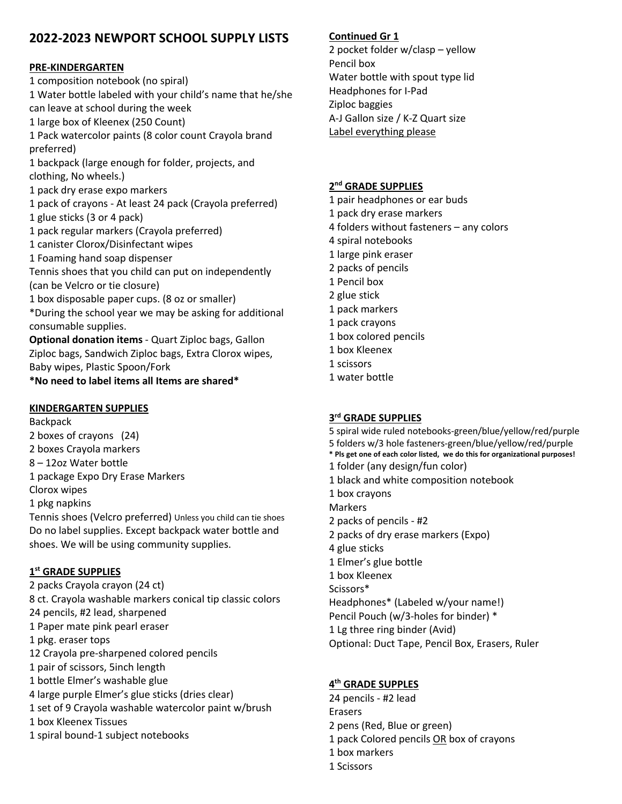# **2022-2023 NEWPORT SCHOOL SUPPLY LISTS**

## **PRE-KINDERGARTEN**

1 composition notebook (no spiral) 1 Water bottle labeled with your child's name that he/she can leave at school during the week 1 large box of Kleenex (250 Count) 1 Pack watercolor paints (8 color count Crayola brand preferred) 1 backpack (large enough for folder, projects, and clothing, No wheels.) 1 pack dry erase expo markers 1 pack of crayons - At least 24 pack (Crayola preferred) 1 glue sticks (3 or 4 pack) 1 pack regular markers (Crayola preferred) 1 canister Clorox/Disinfectant wipes 1 Foaming hand soap dispenser Tennis shoes that you child can put on independently (can be Velcro or tie closure) 1 box disposable paper cups. (8 oz or smaller) \*During the school year we may be asking for additional consumable supplies. **Optional donation items** - Quart Ziploc bags, Gallon Ziploc bags, Sandwich Ziploc bags, Extra Clorox wipes, Baby wipes, Plastic Spoon/Fork **\*No need to label items all Items are shared\***

#### **KINDERGARTEN SUPPLIES**

Backpack 2 boxes of crayons (24) 2 boxes Crayola markers 8 – 12oz Water bottle 1 package Expo Dry Erase Markers Clorox wipes 1 pkg napkins Tennis shoes (Velcro preferred) Unless you child can tie shoes Do no label supplies. Except backpack water bottle and shoes. We will be using community supplies.

## **1st GRADE SUPPLIES**

2 packs Crayola crayon (24 ct) 8 ct. Crayola washable markers conical tip classic colors 24 pencils, #2 lead, sharpened 1 Paper mate pink pearl eraser 1 pkg. eraser tops 12 Crayola pre-sharpened colored pencils 1 pair of scissors, 5inch length 1 bottle Elmer's washable glue 4 large purple Elmer's glue sticks (dries clear) 1 set of 9 Crayola washable watercolor paint w/brush 1 box Kleenex Tissues 1 spiral bound-1 subject notebooks

## **Continued Gr 1**

2 pocket folder w/clasp – yellow Pencil box Water bottle with spout type lid Headphones for I-Pad Ziploc baggies A-J Gallon size / K-Z Quart size Label everything please

### **2nd GRADE SUPPLIES**

- 1 pair headphones or ear buds
- 1 pack dry erase markers
- 4 folders without fasteners any colors
- 4 spiral notebooks
- 1 large pink eraser
- 2 packs of pencils
- 1 Pencil box
- 2 glue stick
- 1 pack markers
- 1 pack crayons
- 1 box colored pencils
- 1 box Kleenex
- 1 scissors
- 1 water bottle

## **3rd GRADE SUPPLIES**

5 spiral wide ruled notebooks-green/blue/yellow/red/purple 5 folders w/3 hole fasteners-green/blue/yellow/red/purple **\* Pls get one of each color listed, we do this for organizational purposes!** 1 folder (any design/fun color) 1 black and white composition notebook 1 box crayons Markers 2 packs of pencils - #2 2 packs of dry erase markers (Expo) 4 glue sticks 1 Elmer's glue bottle 1 box Kleenex Scissors\* Headphones\* (Labeled w/your name!) Pencil Pouch (w/3-holes for binder) \* 1 Lg three ring binder (Avid) Optional: Duct Tape, Pencil Box, Erasers, Ruler

## **4th GRADE SUPPLES**

24 pencils - #2 lead Erasers 2 pens (Red, Blue or green) 1 pack Colored pencils OR box of crayons 1 box markers 1 Scissors